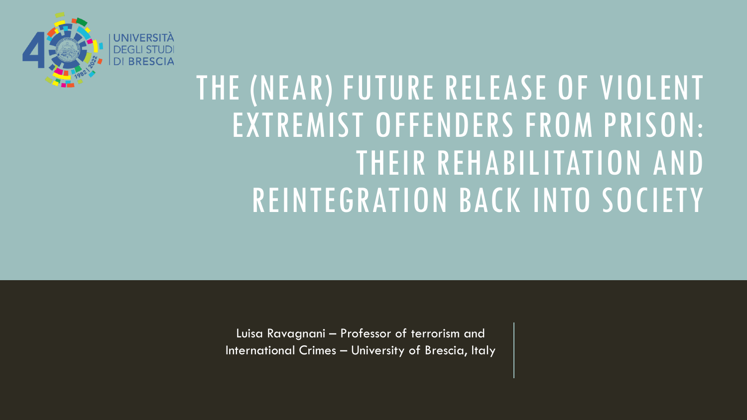

## THE (NEAR) FUTURE RELEASE OF VIOLENT EXTREMIST OFFENDERS FROM PRISON: THEIR REHABILITATION AND REINTEGRATION BACK INTO SOCIETY

Luisa Ravagnani – Professor of terrorism and International Crimes – University of Brescia, Italy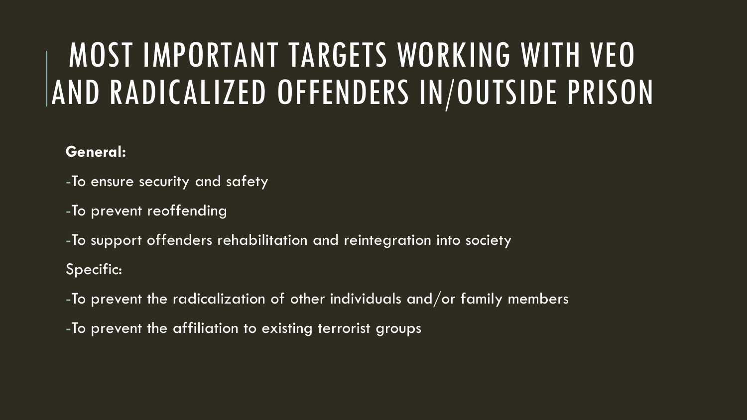## MOST IMPORTANT TARGETS WORKING WITH VEO AND RADICALIZED OFFENDERS IN/OUTSIDE PRISON

#### **General:**

- -To ensure security and safety
- -To prevent reoffending
- -To support offenders rehabilitation and reintegration into society Specific:
- -To prevent the radicalization of other individuals and/or family members
- -To prevent the affiliation to existing terrorist groups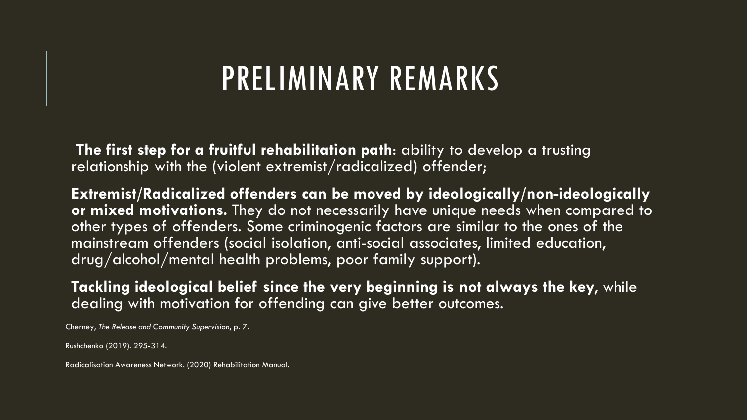#### PRELIMINARY REMARKS

**The first step for a fruitful rehabilitation path**: ability to develop a trusting relationship with the (violent extremist/radicalized) offender;

**Extremist/Radicalized offenders can be moved by ideologically/non-ideologically or mixed motivations.** They do not necessarily have unique needs when compared to other types of offenders. Some criminogenic factors are similar to the ones of the mainstream offenders (social isolation, anti-social associates, limited education, drug/alcohol/mental health problems, poor family support).

**Tackling ideological belief since the very beginning is not always the key**, while dealing with motivation for offending can give better outcomes.

Cherney, *The Release and Community Supervision*, p. 7.

Rushchenko (2019). 295-314.

Radicalisation Awareness Network. (2020) Rehabilitation Manual.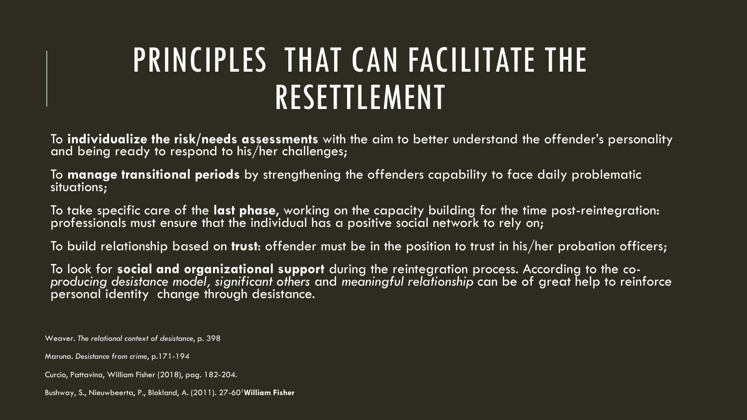## PRINCIPLES THAT CAN FACILITATE THE RESETTLEMENT

To **individualize the risk/needs assessments** with the aim to better understand the offender's personality and being ready to respond to his/her challenges;

To **manage transitional periods** by strengthening the offenders capability to face daily problematic situations;

To take specific care of the **last phase**, working on the capacity building for the time post-reintegration: professionals must ensure that the individual has a positive social network to rely on;

To build relationship based on **trust**: offender must be in the position to trust in his/her probation officers;

To look for **social and organizational support** during the reintegration process. According to the *coproducing desistance model, significant others* and *meaningful relationship* can be of great help to reinforce personal identity change through desistance.

Weaver. *The relational context of desistance*, p. 398

Maruna. *Desistance from crime*, p.171-194

Curcio, Pattavina, William Fisher (2018), pag. 182-204.

Bushway, S., Nieuwbeerta, P., Blokland, A. (2011). 27-601**William Fisher**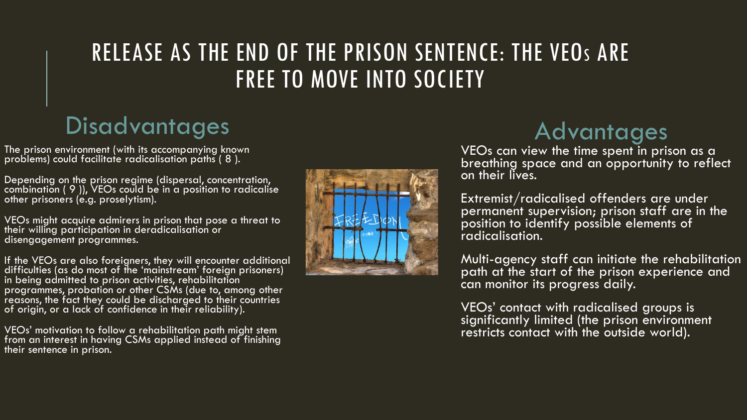#### RELEASE AS THE END OF THE PRISON SENTENCE: THE VEO<sup>S</sup> ARE FREE TO MOVE INTO SOCIETY

#### **Disadvantages**

The prison environment (with its accompanying known problems) could facilitate radicalisation paths ( 8 ).

Depending on the prison regime (dispersal, concentration, combination ( 9 )), VEOs could be in a position to radicalise other prisoners (e.g. proselytism).

VEOs might acquire admirers in prison that pose a threat to their willing participation in deradicalisation or disengagement programmes.

If the VEOs are also foreigners, they will encounter additional difficulties (as do most of the 'mainstream' foreign prisoners) in being admitted to prison activities, rehabilitation programmes, probation or other CSMs (due to, among other reasons, the fact they could be discharged to their countries of origin, or a lack of confidence in their reliability).

VEOs' motivation to follow a rehabilitation path might stem from an interest in having CSMs applied instead of finishing their sentence in prison.



#### **Advantages**

VEOs can view the time spent in prison as a breathing space and an opportunity to reflect on their lives.

Extremist/radicalised offenders are under permanent supervision; prison staff are in the  $\stackrel{\text{\scriptsize{\textsf{position}}}}{\text{\scriptsize{\textsf{bo}}}}$  identify possible elements of radicalisation.

Multi-agency staff can initiate the rehabilitation path at the start of the prison experience and can monitor its progress daily.

VEOs' contact with radicalised groups is significantly limited (the prison environment restricts contact with the outside world).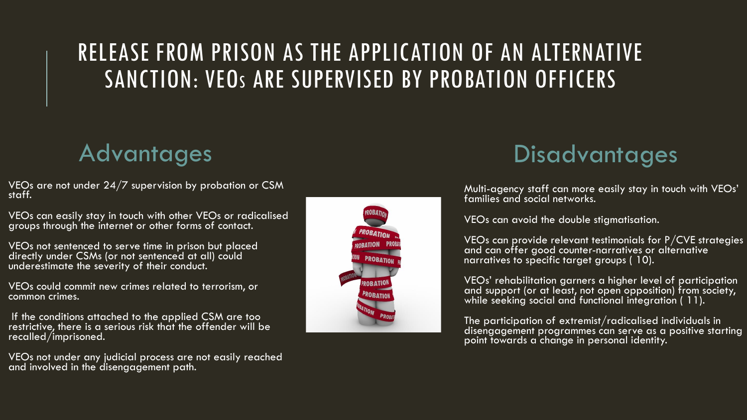#### RELEASE FROM PRISON AS THE APPLICATION OF AN ALTERNATIVE SANCTION: VEO<sup>S</sup> ARE SUPERVISED BY PROBATION OFFICERS

#### **Advantages**

VEOs are not under  $24/7$  supervision by probation or CSM. staff.

VEOs can easily stay in touch with other VEOs or radicalised groups through the internet or other forms of contact.

VEOs not sentenced to serve time in prison but placed directly under CSMs (or not sentenced at all) could underestimate the severity of their conduct.

VEOs could commit new crimes related to terrorism, or common crimes.

If the conditions attached to the applied CSM are too restrictive, there is a serious risk that the offender will be recalled/imprisoned.

VEOs not under any judicial process are not easily reached and involved in the disengagement path.



#### **Disadvantages**

Multi-agency staff can more easily stay in touch with VEOs' families and social networks.

VEOs can avoid the double stigmatisation.

VEOs can provide relevant testimonials for P/CVE strategies and can offer good counter-narratives or alternative narratives to specific target groups ( 10).

VEOs' rehabilitation garners a higher level of participation and support (or at least, not open opposition) from society, while seeking social and functional integration ( 11).

The participation of extremist/radicalised individuals in disengagement programmes can serve as a positive starting point towards a change in personal identity.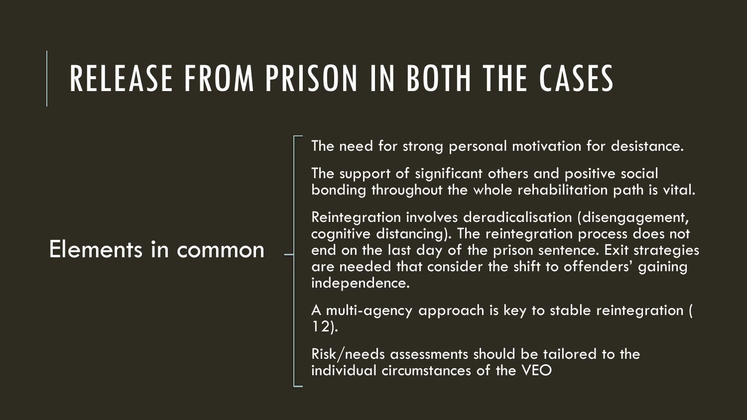# RELEASE FROM PRISON IN BOTH THE CASES

#### Elements in common

The need for strong personal motivation for desistance.

The support of significant others and positive social bonding throughout the whole rehabilitation path is vital.

Reintegration involves deradicalisation (disengagement, cognitive distancing). The reintegration process does not end on the last day of the prison sentence. Exit strategies are needed that consider the shift to offenders' gaining independence.

A multi-agency approach is key to stable reintegration ( 12).

Risk/needs assessments should be tailored to the individual circumstances of the VEO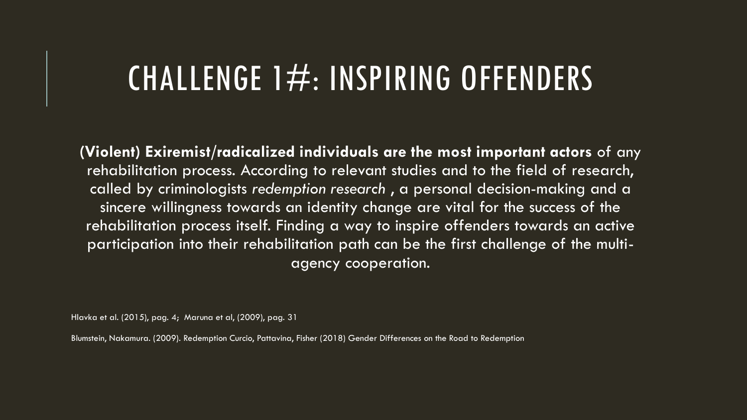### CHALLENGE  $1\#$ : INSPIRING OFFENDERS

**(Violent) Exiremist/radicalized individuals are the most important actors** of any rehabilitation process. According to relevant studies and to the field of research, called by criminologists *redemption research* , a personal decision-making and a sincere willingness towards an identity change are vital for the success of the rehabilitation process itself. Finding a way to inspire offenders towards an active participation into their rehabilitation path can be the first challenge of the multiagency cooperation.

Hlavka et al. (2015), pag. 4; Maruna et al, (2009), pag. 31

Blumstein, Nakamura. (2009). Redemption Curcio, Pattavina, Fisher (2018) Gender Differences on the Road to Redemption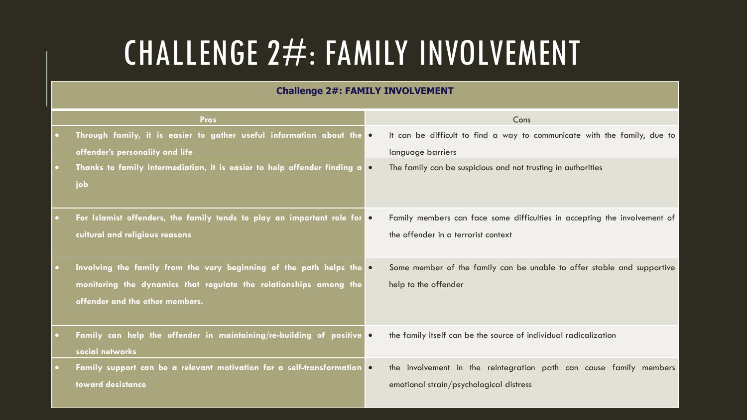## CHALLENGE 2#: FAMILY INVOLVEMENT

#### **Challenge 2#: FAMILY INVOLVEMENT**

| <b>Pros</b>                                                                    |           | Cons                                                                      |
|--------------------------------------------------------------------------------|-----------|---------------------------------------------------------------------------|
| Through family, it is easier to gather useful information about the o          |           | It can be difficult to find a way to communicate with the family, due to  |
| offender's personality and life                                                |           | language barriers                                                         |
| Thanks to family intermediation, it is easier to help offender finding a o     |           | The family can be suspicious and not trusting in authorities              |
| job                                                                            |           |                                                                           |
| For Islamist offenders, the family tends to play an important role for         | $\bullet$ | Family members can face some difficulties in accepting the involvement of |
| cultural and religious reasons                                                 |           | the offender in a terrorist context                                       |
|                                                                                |           |                                                                           |
| Involving the family from the very beginning of the path helps the o           |           | Some member of the family can be unable to offer stable and supportive    |
| monitoring the dynamics that regulate the relationships among the              |           | help to the offender                                                      |
| offender and the other members.                                                |           |                                                                           |
|                                                                                |           |                                                                           |
| Family can help the offender in maintaining/re-building of positive o          |           | the family itself can be the source of individual radicalization          |
| social networks                                                                |           |                                                                           |
| Family support can be a relevant motivation for a self-transformation <b>O</b> |           | the involvement in the reintegration path can cause family members        |
| toward desistance                                                              |           | emotional strain/psychological distress                                   |
|                                                                                |           |                                                                           |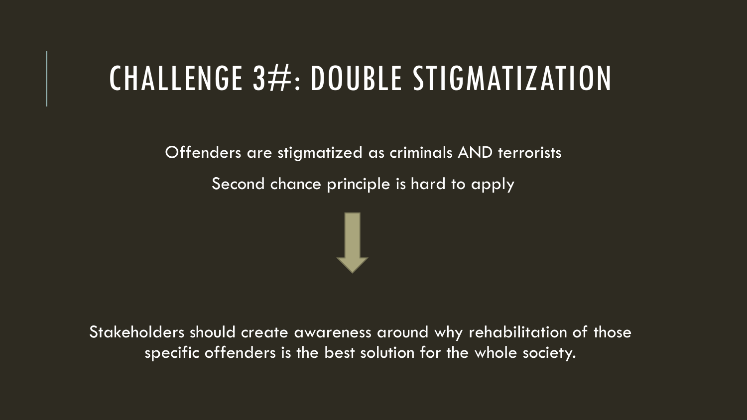### CHALLENGE 3#: DOUBLE STIGMATIZATION

Offenders are stigmatized as criminals AND terrorists

Second chance principle is hard to apply



Stakeholders should create awareness around why rehabilitation of those specific offenders is the best solution for the whole society.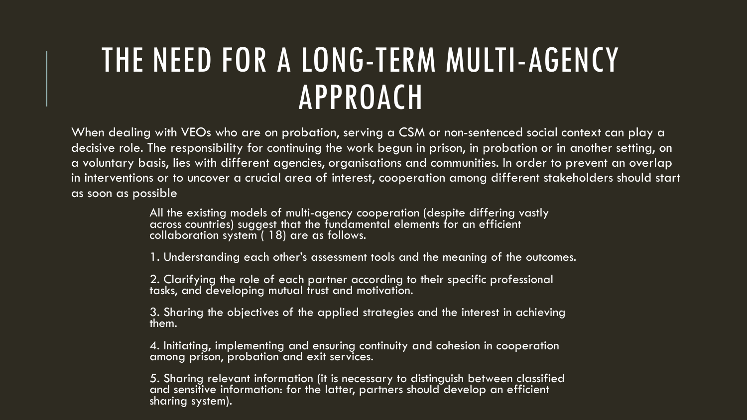## THE NEED FOR A LONG-TERM MULTI-AGENCY APPROACH

When dealing with VEOs who are on probation, serving a CSM or non-sentenced social context can play a decisive role. The responsibility for continuing the work begun in prison, in probation or in another setting, on a voluntary basis, lies with different agencies, organisations and communities. In order to prevent an overlap in interventions or to uncover a crucial area of interest, cooperation among different stakeholders should start as soon as possible

> All the existing models of multi-agency cooperation (despite differing vastly across countries) suggest that the fundamental elements for an efficient collaboration system ( 18) are as follows.

1. Understanding each other's assessment tools and the meaning of the outcomes.

2. Clarifying the role of each partner according to their specific professional tasks, and developing mutual trust and motivation.

3. Sharing the objectives of the applied strategies and the interest in achieving them.

4. Initiating, implementing and ensuring continuity and cohesion in cooperation among prison, probation and exit services.

5. Sharing relevant information (it is necessary to distinguish between classified and sensitive information: for the latter, partners should develop an efficient sharing system).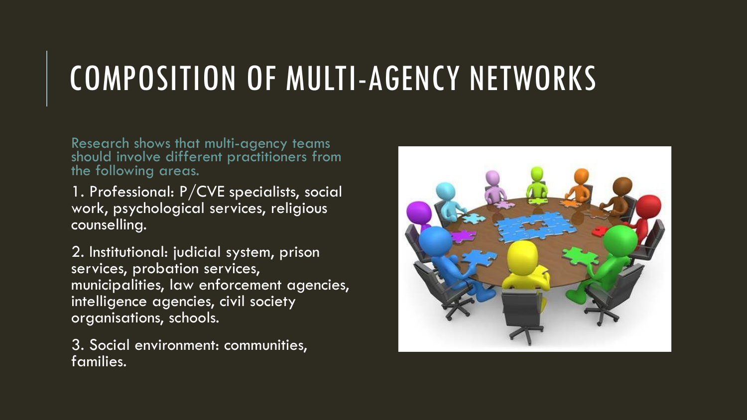# COMPOSITION OF MULTI-AGENCY NETWORKS

Research shows that multi-agency teams should involve different practitioners from the following areas.

1. Professional: P/CVE specialists, social work, psychological services, religious counselling.

2. Institutional: judicial system, prison services, probation services, municipalities, law enforcement agencies, intelligence agencies, civil society organisations, schools.

3. Social environment: communities, families.

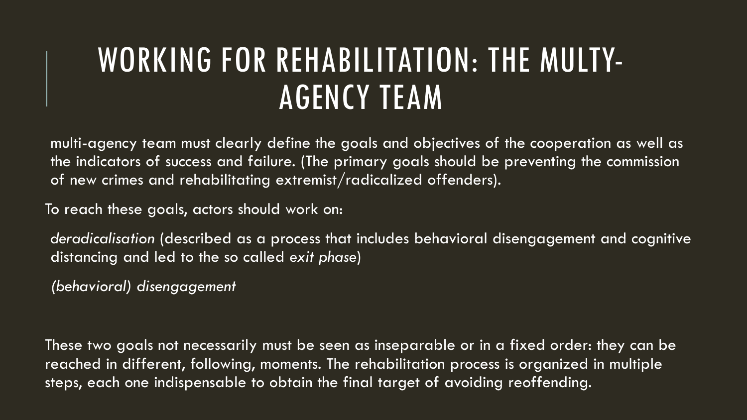### WORKING FOR REHABILITATION: THE MULTY-AGENCY TEAM

multi-agency team must clearly define the goals and objectives of the cooperation as well as the indicators of success and failure. (The primary goals should be preventing the commission of new crimes and rehabilitating extremist/radicalized offenders).

To reach these goals, actors should work on:

*deradicalisation* (described as a process that includes behavioral disengagement and cognitive distancing and led to the so called *exit phase*)

*(behavioral) disengagement*

These two goals not necessarily must be seen as inseparable or in a fixed order: they can be reached in different, following, moments. The rehabilitation process is organized in multiple steps, each one indispensable to obtain the final target of avoiding reoffending.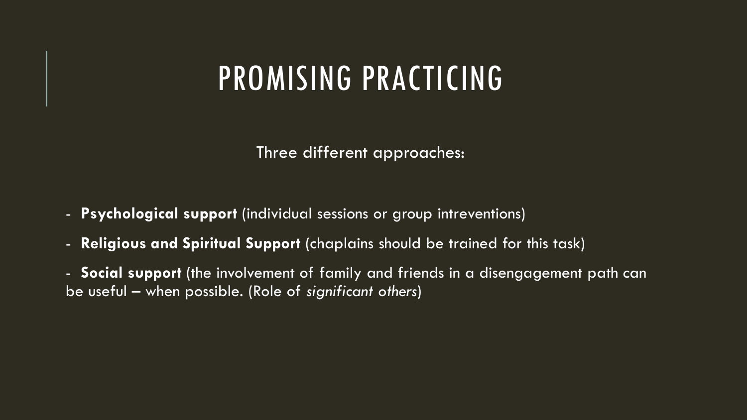### PROMISING PRACTICING

Three different approaches:

- **Psychological support** (individual sessions or group intreventions)
- **Religious and Spiritual Support** (chaplains should be trained for this task)

- **Social support** (the involvement of family and friends in a disengagement path can be useful – when possible. (Role of *significant others*)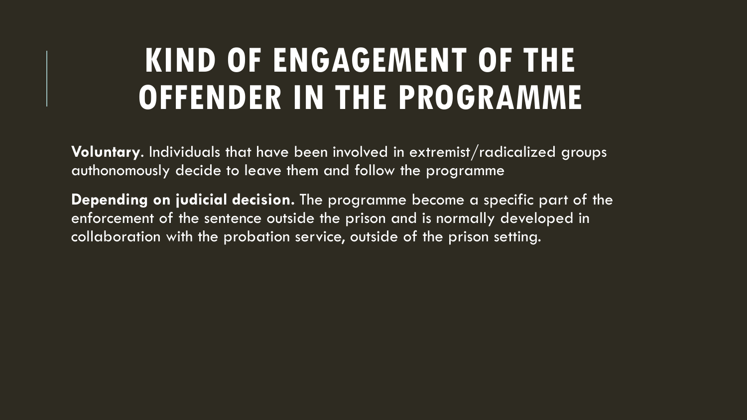### **KIND OF ENGAGEMENT OF THE OFFENDER IN THE PROGRAMME**

**Voluntary**. Individuals that have been involved in extremist/radicalized groups authonomously decide to leave them and follow the programme

**Depending on judicial decision.** The programme become a specific part of the enforcement of the sentence outside the prison and is normally developed in collaboration with the probation service, outside of the prison setting.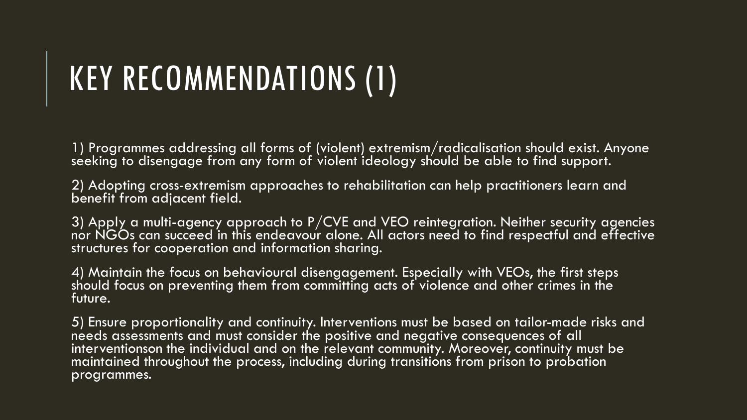# KEY RECOMMENDATIONS (1)

1) Programmes addressing all forms of (violent) extremism/radicalisation should exist. Anyone seeking to disengage from any form of violent ideology should be able to find support.

2) Adopting cross-extremism approaches to rehabilitation can help practitioners learn and benefit from adjacent field.

3) Apply a multi-agency approach to  $P/CVE$  and VEO reintegration. Neither security agencies nor NGOs can succeed in this endeavour alone. All actors need to find respectful and effective structures for cooperation and information sharing.

4) Maintain the focus on behavioural disengagement. Especially with VEOs, the first steps should focus on preventing them from committing acts of violence and other crimes in the future.

5) Ensure proportionality and continuity. Interventions must be based on tailor-made risks and needs assessments and must consider the positive and negative consequences of all interventionson the individual and on the relevant community. Moreover, continuity must be maintained throughout the process, including during transitions from prison to probation programmes.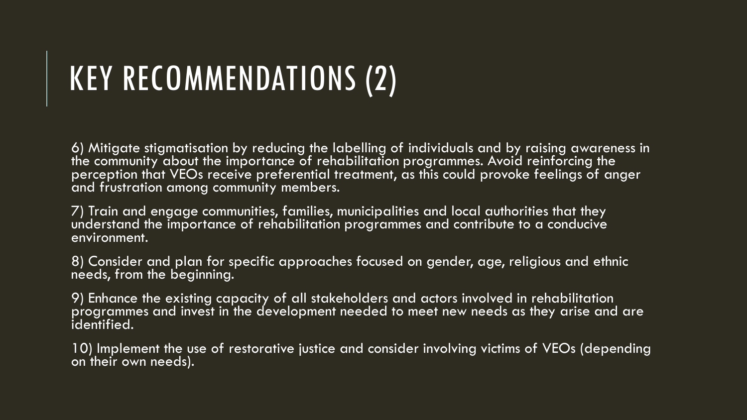# KEY RECOMMENDATIONS (2)

6) Mitigate stigmatisation by reducing the labelling of individuals and by raising awareness in the community about the importance of rehabilitation programmes. Avoid reinforcing the perception that VEOs receive preferential treatment, as this could provoke feelings of anger and frustration among community members.

7) Train and engage communities, families, municipalities and local authorities that they understand the importance of rehabilitation programmes and contribute to a conducive environment.

8) Consider and plan for specific approaches focused on gender, age, religious and ethnic needs, from the beginning.

9) Enhance the existing capacity of all stakeholders and actors involved in rehabilitation programmes and invest in the development needed to meet new needs as they arise and are identified.

10) Implement the use of restorative justice and consider involving victims of VEOs (depending on their own needs).